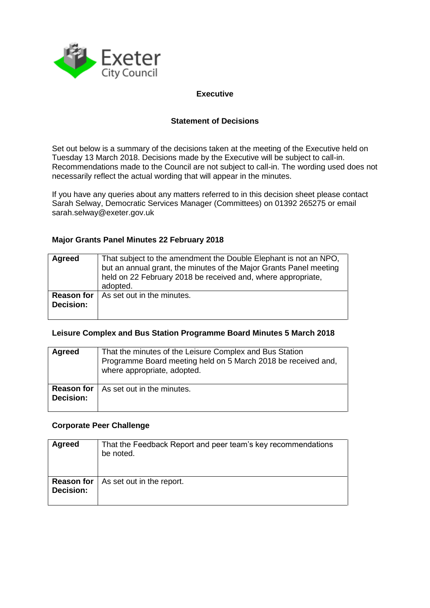

### **Executive**

### **Statement of Decisions**

Set out below is a summary of the decisions taken at the meeting of the Executive held on Tuesday 13 March 2018. Decisions made by the Executive will be subject to call-in. Recommendations made to the Council are not subject to call-in. The wording used does not necessarily reflect the actual wording that will appear in the minutes.

If you have any queries about any matters referred to in this decision sheet please contact Sarah Selway, Democratic Services Manager (Committees) on 01392 265275 or email sarah.selway@exeter.gov.uk

#### **Major Grants Panel Minutes 22 February 2018**

| <b>Agreed</b>                         | That subject to the amendment the Double Elephant is not an NPO,<br>but an annual grant, the minutes of the Major Grants Panel meeting<br>held on 22 February 2018 be received and, where appropriate,<br>adopted. |
|---------------------------------------|--------------------------------------------------------------------------------------------------------------------------------------------------------------------------------------------------------------------|
| <b>Reason for</b><br><b>Decision:</b> | As set out in the minutes.                                                                                                                                                                                         |

#### **Leisure Complex and Bus Station Programme Board Minutes 5 March 2018**

| Agreed                                | That the minutes of the Leisure Complex and Bus Station<br>Programme Board meeting held on 5 March 2018 be received and,<br>where appropriate, adopted. |
|---------------------------------------|---------------------------------------------------------------------------------------------------------------------------------------------------------|
| <b>Reason for</b><br><b>Decision:</b> | As set out in the minutes.                                                                                                                              |

#### **Corporate Peer Challenge**

| Agreed                                | That the Feedback Report and peer team's key recommendations<br>be noted. |
|---------------------------------------|---------------------------------------------------------------------------|
| <b>Reason for</b><br><b>Decision:</b> | As set out in the report.                                                 |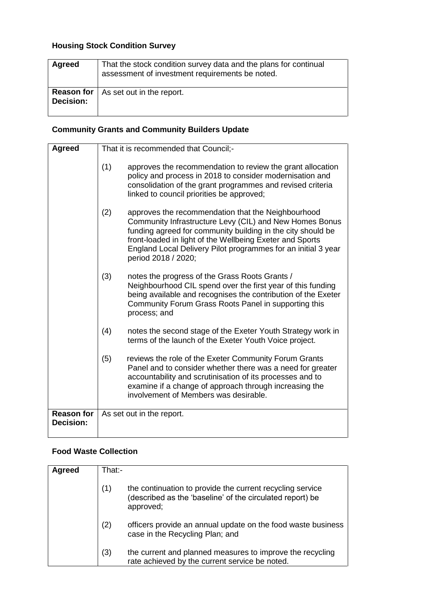# **Housing Stock Condition Survey**

| <b>Agreed</b>    | That the stock condition survey data and the plans for continual<br>assessment of investment requirements be noted. |
|------------------|---------------------------------------------------------------------------------------------------------------------|
| <b>Decision:</b> | <b>Reason for</b>   As set out in the report.                                                                       |

## **Community Grants and Community Builders Update**

| <b>Agreed</b>                  | That it is recommended that Council;-                                                                                                                                                                                                                                                                                                   |
|--------------------------------|-----------------------------------------------------------------------------------------------------------------------------------------------------------------------------------------------------------------------------------------------------------------------------------------------------------------------------------------|
|                                | (1)<br>approves the recommendation to review the grant allocation<br>policy and process in 2018 to consider modernisation and<br>consolidation of the grant programmes and revised criteria<br>linked to council priorities be approved;                                                                                                |
|                                | (2)<br>approves the recommendation that the Neighbourhood<br>Community Infrastructure Levy (CIL) and New Homes Bonus<br>funding agreed for community building in the city should be<br>front-loaded in light of the Wellbeing Exeter and Sports<br>England Local Delivery Pilot programmes for an initial 3 year<br>period 2018 / 2020; |
|                                | (3)<br>notes the progress of the Grass Roots Grants /<br>Neighbourhood CIL spend over the first year of this funding<br>being available and recognises the contribution of the Exeter<br>Community Forum Grass Roots Panel in supporting this<br>process; and                                                                           |
|                                | (4)<br>notes the second stage of the Exeter Youth Strategy work in<br>terms of the launch of the Exeter Youth Voice project.                                                                                                                                                                                                            |
|                                | (5)<br>reviews the role of the Exeter Community Forum Grants<br>Panel and to consider whether there was a need for greater<br>accountability and scrutinisation of its processes and to<br>examine if a change of approach through increasing the<br>involvement of Members was desirable.                                              |
| <b>Reason for</b><br>Decision: | As set out in the report.                                                                                                                                                                                                                                                                                                               |

## **Food Waste Collection**

| Agreed | That:- |                                                                                                                                     |
|--------|--------|-------------------------------------------------------------------------------------------------------------------------------------|
|        | (1)    | the continuation to provide the current recycling service<br>(described as the 'baseline' of the circulated report) be<br>approved; |
|        | (2)    | officers provide an annual update on the food waste business<br>case in the Recycling Plan; and                                     |
|        | (3)    | the current and planned measures to improve the recycling<br>rate achieved by the current service be noted.                         |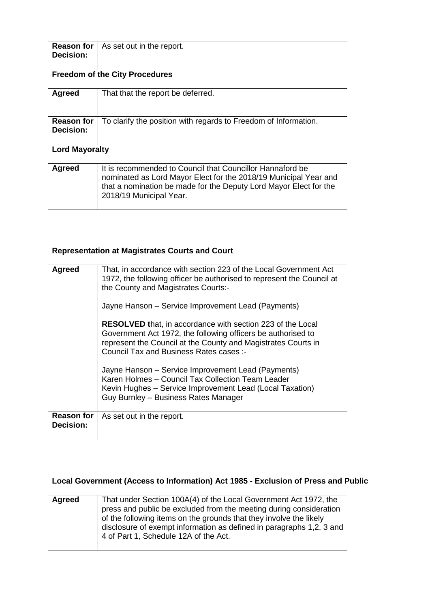|           | <b>Reason for</b>   As set out in the report. |
|-----------|-----------------------------------------------|
| Decision: |                                               |

# **Freedom of the City Procedures**

| Agreed           | That that the report be deferred.                                                 |
|------------------|-----------------------------------------------------------------------------------|
| <b>Decision:</b> | <b>Reason for</b> To clarify the position with regards to Freedom of Information. |

# **Lord Mayoralty**

| Agreed | It is recommended to Council that Councillor Hannaford be<br>nominated as Lord Mayor Elect for the 2018/19 Municipal Year and<br>that a nomination be made for the Deputy Lord Mayor Elect for the<br>2018/19 Municipal Year. |
|--------|-------------------------------------------------------------------------------------------------------------------------------------------------------------------------------------------------------------------------------|
|        |                                                                                                                                                                                                                               |

### **Representation at Magistrates Courts and Court**

| Agreed                         | That, in accordance with section 223 of the Local Government Act<br>1972, the following officer be authorised to represent the Council at<br>the County and Magistrates Courts:-<br>Jayne Hanson – Service Improvement Lead (Payments)<br><b>RESOLVED</b> that, in accordance with section 223 of the Local<br>Government Act 1972, the following officers be authorised to<br>represent the Council at the County and Magistrates Courts in<br>Council Tax and Business Rates cases :-<br>Jayne Hanson – Service Improvement Lead (Payments)<br>Karen Holmes - Council Tax Collection Team Leader<br>Kevin Hughes - Service Improvement Lead (Local Taxation)<br>Guy Burnley - Business Rates Manager |  |
|--------------------------------|--------------------------------------------------------------------------------------------------------------------------------------------------------------------------------------------------------------------------------------------------------------------------------------------------------------------------------------------------------------------------------------------------------------------------------------------------------------------------------------------------------------------------------------------------------------------------------------------------------------------------------------------------------------------------------------------------------|--|
| <b>Reason for</b><br>Decision: | As set out in the report.                                                                                                                                                                                                                                                                                                                                                                                                                                                                                                                                                                                                                                                                              |  |
|                                |                                                                                                                                                                                                                                                                                                                                                                                                                                                                                                                                                                                                                                                                                                        |  |

# **Local Government (Access to Information) Act 1985 - Exclusion of Press and Public**

| Agreed | That under Section 100A(4) of the Local Government Act 1972, the     |
|--------|----------------------------------------------------------------------|
|        | press and public be excluded from the meeting during consideration   |
|        | of the following items on the grounds that they involve the likely   |
|        | disclosure of exempt information as defined in paragraphs 1,2, 3 and |
|        | 4 of Part 1, Schedule 12A of the Act.                                |
|        |                                                                      |